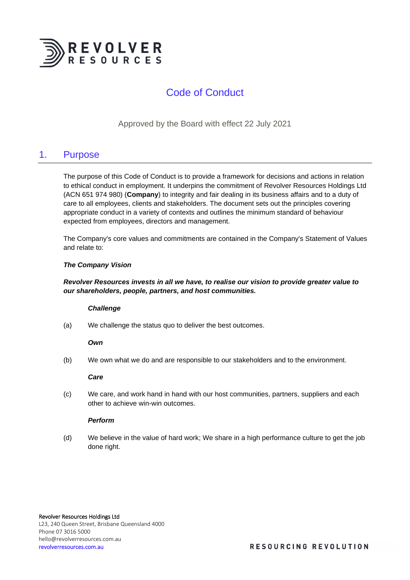

# Code of Conduct

Approved by the Board with effect 22 July 2021

## 1. Purpose

The purpose of this Code of Conduct is to provide a framework for decisions and actions in relation to ethical conduct in employment. It underpins the commitment of Revolver Resources Holdings Ltd (ACN 651 974 980) (**Company**) to integrity and fair dealing in its business affairs and to a duty of care to all employees, clients and stakeholders. The document sets out the principles covering appropriate conduct in a variety of contexts and outlines the minimum standard of behaviour expected from employees, directors and management.

The Company's core values and commitments are contained in the Company's Statement of Values and relate to:

### *The Company Vision*

### *Revolver Resources invests in all we have, to realise our vision to provide greater value to our shareholders, people, partners, and host communities.*

#### *Challenge*

(a) We challenge the status quo to deliver the best outcomes.

#### *Own*

(b) We own what we do and are responsible to our stakeholders and to the environment.

#### *Care*

(c) We care, and work hand in hand with our host communities, partners, suppliers and each other to achieve win-win outcomes.

### *Perform*

(d) We believe in the value of hard work; We share in a high performance culture to get the job done right.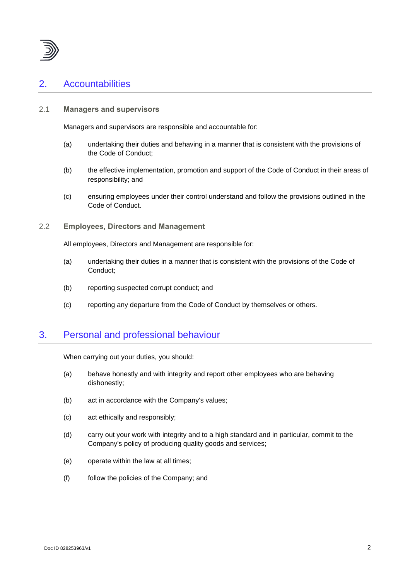

# 2. Accountabilities

## 2.1 **Managers and supervisors**

Managers and supervisors are responsible and accountable for:

- (a) undertaking their duties and behaving in a manner that is consistent with the provisions of the Code of Conduct;
- (b) the effective implementation, promotion and support of the Code of Conduct in their areas of responsibility; and
- (c) ensuring employees under their control understand and follow the provisions outlined in the Code of Conduct.

### 2.2 **Employees, Directors and Management**

All employees, Directors and Management are responsible for:

- (a) undertaking their duties in a manner that is consistent with the provisions of the Code of Conduct;
- (b) reporting suspected corrupt conduct; and
- (c) reporting any departure from the Code of Conduct by themselves or others.

## 3. Personal and professional behaviour

When carrying out your duties, you should:

- (a) behave honestly and with integrity and report other employees who are behaving dishonestly;
- (b) act in accordance with the Company's values;
- (c) act ethically and responsibly;
- (d) carry out your work with integrity and to a high standard and in particular, commit to the Company's policy of producing quality goods and services;
- (e) operate within the law at all times;
- (f) follow the policies of the Company; and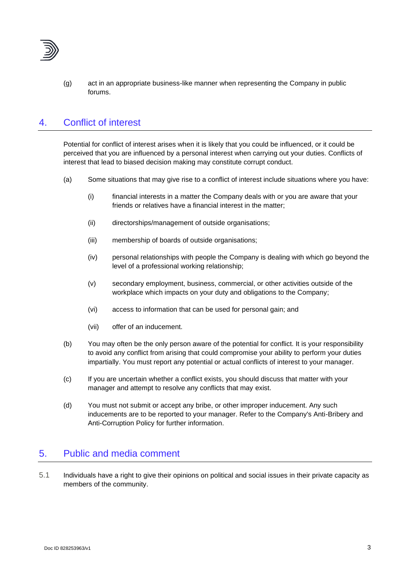

(g) act in an appropriate business-like manner when representing the Company in public forums.

# 4. Conflict of interest

Potential for conflict of interest arises when it is likely that you could be influenced, or it could be perceived that you are influenced by a personal interest when carrying out your duties. Conflicts of interest that lead to biased decision making may constitute corrupt conduct.

- (a) Some situations that may give rise to a conflict of interest include situations where you have:
	- (i) financial interests in a matter the Company deals with or you are aware that your friends or relatives have a financial interest in the matter;
	- (ii) directorships/management of outside organisations;
	- (iii) membership of boards of outside organisations;
	- (iv) personal relationships with people the Company is dealing with which go beyond the level of a professional working relationship;
	- (v) secondary employment, business, commercial, or other activities outside of the workplace which impacts on your duty and obligations to the Company;
	- (vi) access to information that can be used for personal gain; and
	- (vii) offer of an inducement.
- (b) You may often be the only person aware of the potential for conflict. It is your responsibility to avoid any conflict from arising that could compromise your ability to perform your duties impartially. You must report any potential or actual conflicts of interest to your manager.
- (c) If you are uncertain whether a conflict exists, you should discuss that matter with your manager and attempt to resolve any conflicts that may exist.
- (d) You must not submit or accept any bribe, or other improper inducement. Any such inducements are to be reported to your manager. Refer to the Company's Anti-Bribery and Anti-Corruption Policy for further information.

## 5. Public and media comment

5.1 Individuals have a right to give their opinions on political and social issues in their private capacity as members of the community.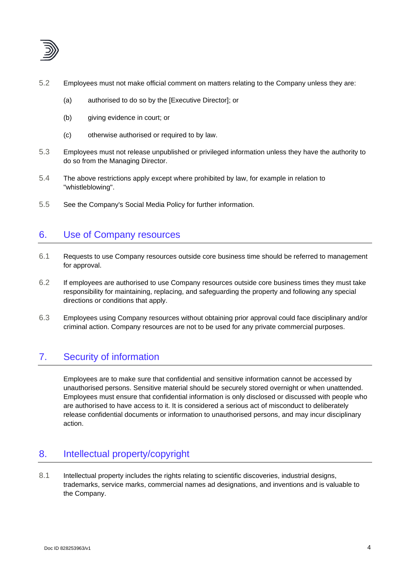

- 5.2 Employees must not make official comment on matters relating to the Company unless they are:
	- (a) authorised to do so by the [Executive Director]; or
	- (b) giving evidence in court; or
	- (c) otherwise authorised or required to by law.
- 5.3 Employees must not release unpublished or privileged information unless they have the authority to do so from the Managing Director.
- 5.4 The above restrictions apply except where prohibited by law, for example in relation to "whistleblowing".
- 5.5 See the Company's Social Media Policy for further information.

# 6. Use of Company resources

- 6.1 Requests to use Company resources outside core business time should be referred to management for approval.
- 6.2 If employees are authorised to use Company resources outside core business times they must take responsibility for maintaining, replacing, and safeguarding the property and following any special directions or conditions that apply.
- 6.3 Employees using Company resources without obtaining prior approval could face disciplinary and/or criminal action. Company resources are not to be used for any private commercial purposes.

# 7. Security of information

Employees are to make sure that confidential and sensitive information cannot be accessed by unauthorised persons. Sensitive material should be securely stored overnight or when unattended. Employees must ensure that confidential information is only disclosed or discussed with people who are authorised to have access to it. It is considered a serious act of misconduct to deliberately release confidential documents or information to unauthorised persons, and may incur disciplinary action.

# 8. Intellectual property/copyright

8.1 Intellectual property includes the rights relating to scientific discoveries, industrial designs, trademarks, service marks, commercial names ad designations, and inventions and is valuable to the Company.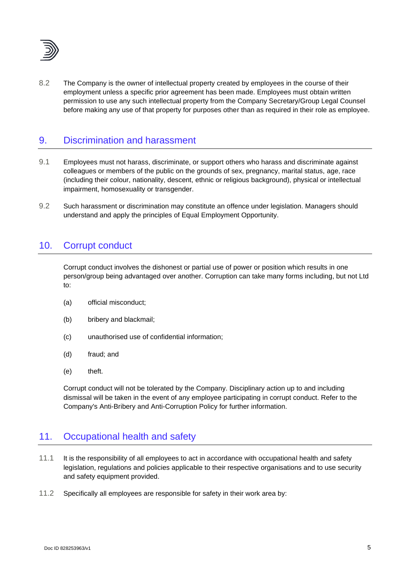

8.2 The Company is the owner of intellectual property created by employees in the course of their employment unless a specific prior agreement has been made. Employees must obtain written permission to use any such intellectual property from the Company Secretary/Group Legal Counsel before making any use of that property for purposes other than as required in their role as employee.

## 9. Discrimination and harassment

- 9.1 Employees must not harass, discriminate, or support others who harass and discriminate against colleagues or members of the public on the grounds of sex, pregnancy, marital status, age, race (including their colour, nationality, descent, ethnic or religious background), physical or intellectual impairment, homosexuality or transgender.
- 9.2 Such harassment or discrimination may constitute an offence under legislation. Managers should understand and apply the principles of Equal Employment Opportunity.

## 10. Corrupt conduct

Corrupt conduct involves the dishonest or partial use of power or position which results in one person/group being advantaged over another. Corruption can take many forms including, but not Ltd to:

- (a) official misconduct;
- (b) bribery and blackmail;
- (c) unauthorised use of confidential information;
- (d) fraud; and
- (e) theft.

Corrupt conduct will not be tolerated by the Company. Disciplinary action up to and including dismissal will be taken in the event of any employee participating in corrupt conduct. Refer to the Company's Anti-Bribery and Anti-Corruption Policy for further information.

## 11. Occupational health and safety

- 11.1 It is the responsibility of all employees to act in accordance with occupational health and safety legislation, regulations and policies applicable to their respective organisations and to use security and safety equipment provided.
- 11.2 Specifically all employees are responsible for safety in their work area by: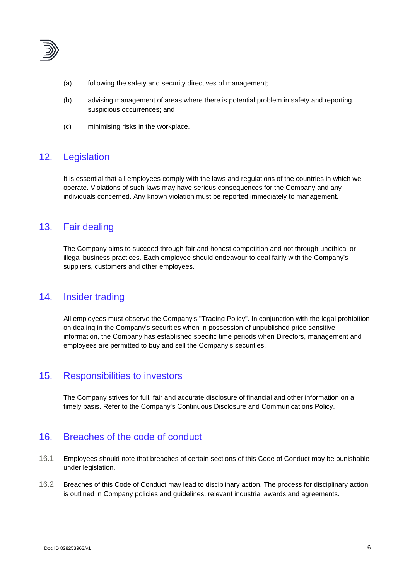

- (a) following the safety and security directives of management;
- (b) advising management of areas where there is potential problem in safety and reporting suspicious occurrences; and
- (c) minimising risks in the workplace.

# 12. Legislation

It is essential that all employees comply with the laws and regulations of the countries in which we operate. Violations of such laws may have serious consequences for the Company and any individuals concerned. Any known violation must be reported immediately to management.

## 13. Fair dealing

The Company aims to succeed through fair and honest competition and not through unethical or illegal business practices. Each employee should endeavour to deal fairly with the Company's suppliers, customers and other employees.

## 14. Insider trading

All employees must observe the Company's "Trading Policy". In conjunction with the legal prohibition on dealing in the Company's securities when in possession of unpublished price sensitive information, the Company has established specific time periods when Directors, management and employees are permitted to buy and sell the Company's securities.

## 15. Responsibilities to investors

The Company strives for full, fair and accurate disclosure of financial and other information on a timely basis. Refer to the Company's Continuous Disclosure and Communications Policy.

## 16. Breaches of the code of conduct

- 16.1 Employees should note that breaches of certain sections of this Code of Conduct may be punishable under legislation.
- 16.2 Breaches of this Code of Conduct may lead to disciplinary action. The process for disciplinary action is outlined in Company policies and guidelines, relevant industrial awards and agreements.